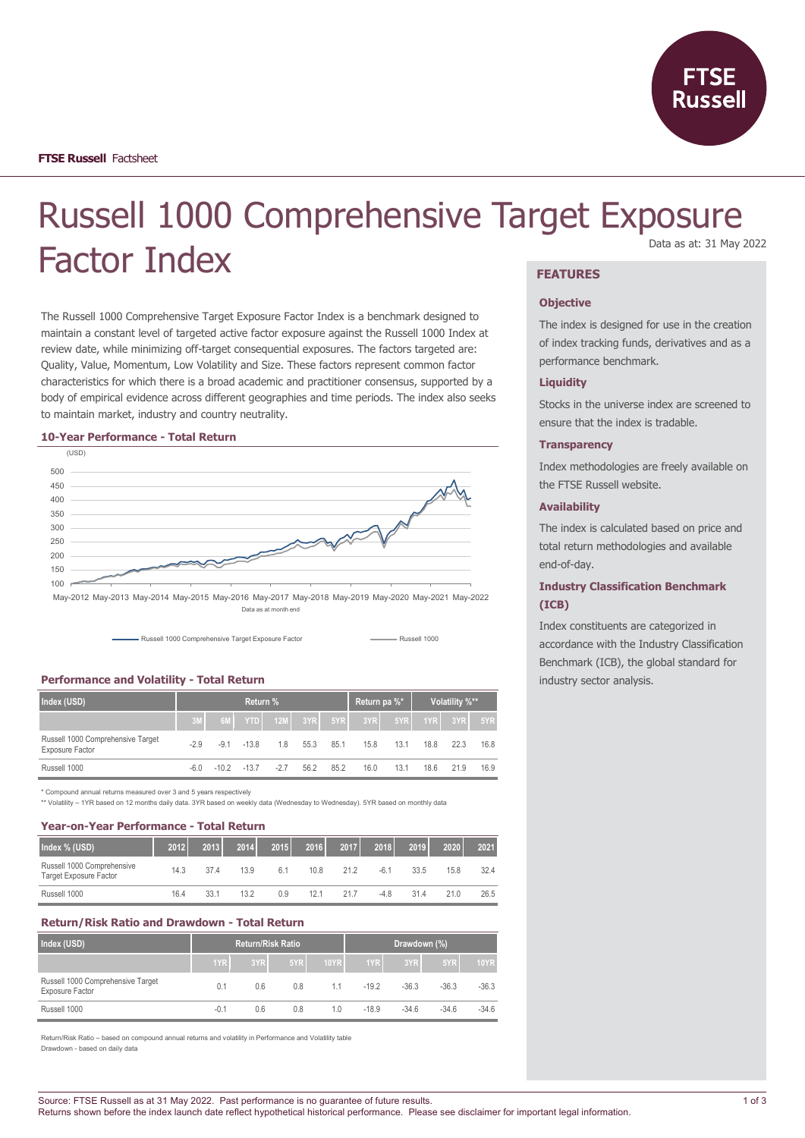

# Russell 1000 Comprehensive Target Exposure Factor Index Data as at: 31 May 2022

The Russell 1000 Comprehensive Target Exposure Factor Index is a benchmark designed to maintain a constant level of targeted active factor exposure against the Russell 1000 Index at review date, while minimizing off-target consequential exposures. The factors targeted are: Quality, Value, Momentum, Low Volatility and Size. These factors represent common factor characteristics for which there is a broad academic and practitioner consensus, supported by a body of empirical evidence across different geographies and time periods. The index also seeks to maintain market, industry and country neutrality.

#### **10-Year Performance - Total Return**



Data as at month end



## **Performance and Volatility - Total Return**

| Index (USD)                                          | Return % |        |         |       |      |      | Return pa %* |      | Volatility %** |             |      |
|------------------------------------------------------|----------|--------|---------|-------|------|------|--------------|------|----------------|-------------|------|
|                                                      | 3M       |        |         |       |      |      |              |      |                | 1YR 3YR 5YR |      |
| Russell 1000 Comprehensive Target<br>Exposure Factor | $-2.9$   | $-9.1$ | $-13.8$ | 1.8   | 55.3 | 85.1 | 15.8         | 13.1 | 18.8           | 223         | 16.8 |
| Russell 1000                                         | -6.0     | $-102$ | $-137$  | $-27$ | 56.2 | 85.2 | 16.0         | 13.1 | 18.6           | 21.9        | 16.9 |

\* Compound annual returns measured over 3 and 5 years respectively

\*\* Volatility – 1YR based on 12 months daily data. 3YR based on weekly data (Wednesday to Wednesday). 5YR based on monthly data

### **Year-on-Year Performance - Total Return**

| Index % (USD)                                               | 2012 | 2013 | 2014 | 2015 | 2016 | 2017 | 2018   | 2019 | 2020 | 2021 |
|-------------------------------------------------------------|------|------|------|------|------|------|--------|------|------|------|
| Russell 1000 Comprehensive<br><b>Target Exposure Factor</b> | 14.3 | 374  | 13.9 | 6.1  | 10.8 | 212  | $-6.1$ | 33.5 | 15.8 | 32.4 |
| Russell 1000                                                | 16.4 | 33.1 | 13.2 | 0.9  | 12.1 | 217  | $-4.8$ | 31.4 | 21.0 | 26.5 |

# **Return/Risk Ratio and Drawdown - Total Return**

| Index (USD)                                          | <b>Return/Risk Ratio</b> |     |     | Drawdown (%) |         |         |         |             |
|------------------------------------------------------|--------------------------|-----|-----|--------------|---------|---------|---------|-------------|
|                                                      | 1YR <sub>I</sub>         | 3YR | 5YR | <b>10YR</b>  | 1YR     | 3YR     | 5YR     | <b>10YR</b> |
| Russell 1000 Comprehensive Target<br>Exposure Factor | 0.1                      | 0.6 | 0.8 | 1.1          | $-19.2$ | $-36.3$ | $-36.3$ | $-36.3$     |
| Russell 1000                                         | $-0.1$                   | 0.6 | 0.8 | 1.0          | $-18.9$ | $-34.6$ | $-34.6$ | $-34.6$     |

Return/Risk Ratio – based on compound annual returns and volatility in Performance and Volatility table Drawdown - based on daily data

### **FEATURES**

#### **Objective**

The index is designed for use in the creation of index tracking funds, derivatives and as a performance benchmark.

### **Liquidity**

Stocks in the universe index are screened to ensure that the index is tradable.

### **Transparency**

Index methodologies are freely available on the FTSE Russell website.

### **Availability**

The index is calculated based on price and total return methodologies and available end-of-day.

### **Industry Classification Benchmark (ICB)**

Index constituents are categorized in accordance with the Industry Classification Benchmark (ICB), the global standard for industry sector analysis.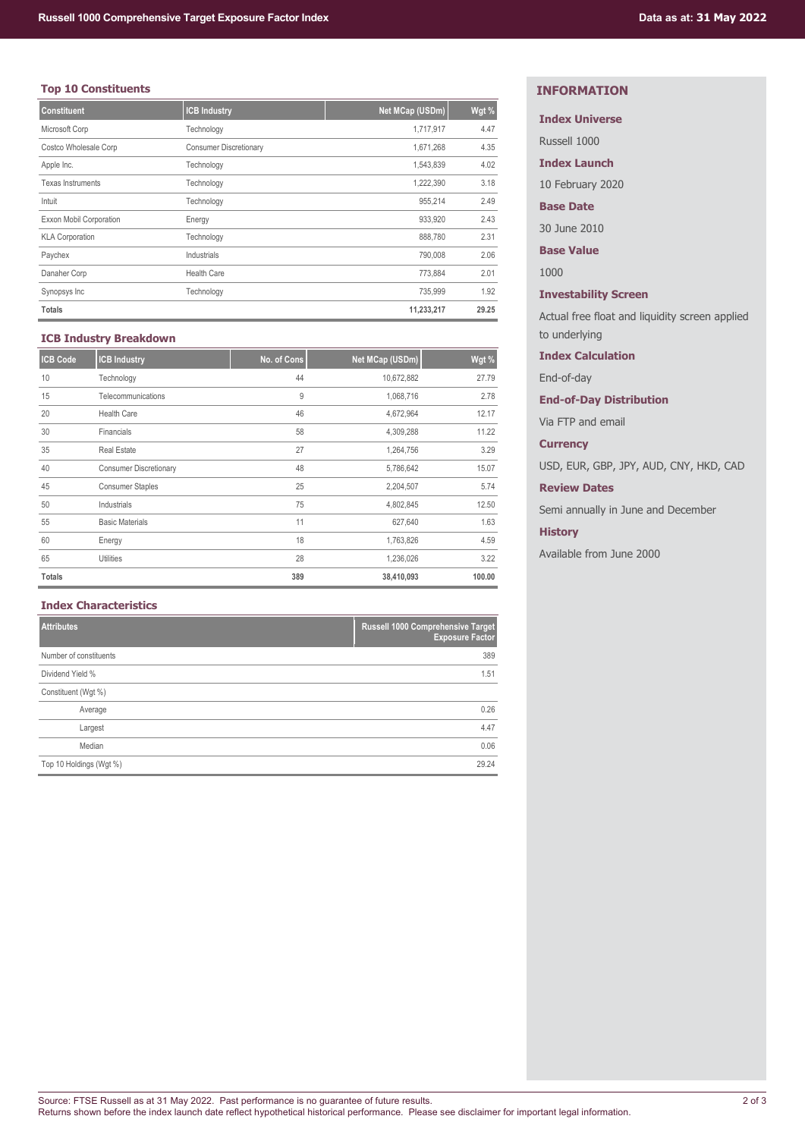# **Top 10 Constituents**

| <b>Constituent</b>       | <b>ICB Industry</b>           | Net MCap (USDm) | Wgt % |
|--------------------------|-------------------------------|-----------------|-------|
| Microsoft Corp           | Technology                    | 1,717,917       | 4.47  |
| Costco Wholesale Corp    | <b>Consumer Discretionary</b> | 1,671,268       | 4.35  |
| Apple Inc.               | Technology                    | 1,543,839       | 4.02  |
| <b>Texas Instruments</b> | Technology                    | 1,222,390       | 3.18  |
| Intuit                   | Technology                    | 955,214         | 2.49  |
| Exxon Mobil Corporation  | Energy                        | 933,920         | 2.43  |
| <b>KLA Corporation</b>   | Technology                    | 888,780         | 2.31  |
| Paychex                  | Industrials                   | 790,008         | 2.06  |
| Danaher Corp             | <b>Health Care</b>            | 773,884         | 2.01  |
| Synopsys Inc             | Technology                    | 735,999         | 1.92  |
| <b>Totals</b>            |                               | 11,233,217      | 29.25 |

# **ICB Industry Breakdown**

| <b>ICB Code</b> | <b>ICB Industry</b>           | No. of Cons | Net MCap (USDm) | Wgt %  |
|-----------------|-------------------------------|-------------|-----------------|--------|
| 10              | Technology                    | 44          | 10,672,882      | 27.79  |
| 15              | Telecommunications            | 9           | 1,068,716       | 2.78   |
| 20              | <b>Health Care</b>            | 46          | 4,672,964       | 12.17  |
| 30              | Financials                    | 58          | 4,309,288       | 11.22  |
| 35              | <b>Real Estate</b>            | 27          | 1,264,756       | 3.29   |
| 40              | <b>Consumer Discretionary</b> | 48          | 5,786,642       | 15.07  |
| 45              | <b>Consumer Staples</b>       | 25          | 2,204,507       | 5.74   |
| 50              | Industrials                   | 75          | 4,802,845       | 12.50  |
| 55              | <b>Basic Materials</b>        | 11          | 627,640         | 1.63   |
| 60              | Energy                        | 18          | 1,763,826       | 4.59   |
| 65              | <b>Utilities</b>              | 28          | 1,236,026       | 3.22   |
| <b>Totals</b>   |                               | 389         | 38,410,093      | 100.00 |

# **Index Characteristics**

| <b>Attributes</b>       | Russell 1000 Comprehensive Target<br><b>Exposure Factor</b> |
|-------------------------|-------------------------------------------------------------|
| Number of constituents  | 389                                                         |
| Dividend Yield %        | 1.51                                                        |
| Constituent (Wgt %)     |                                                             |
| Average                 | 0.26                                                        |
| Largest                 | 4.47                                                        |
| Median                  | 0.06                                                        |
| Top 10 Holdings (Wgt %) | 29.24                                                       |

# **INFORMATION**

# **Index Universe**

Russell 1000

**Index Launch**

10 February 2020

# **Base Date**

30 June 2010

**Base Value**

1000

# **Investability Screen**

Actual free float and liquidity screen applied to underlying

### **Index Calculation**

End-of-day

# **End-of-Day Distribution**

Via FTP and email

### **Currency**

USD, EUR, GBP, JPY, AUD, CNY, HKD, CAD

# **Review Dates**

Semi annually in June and December

## **History**

Available from June 2000